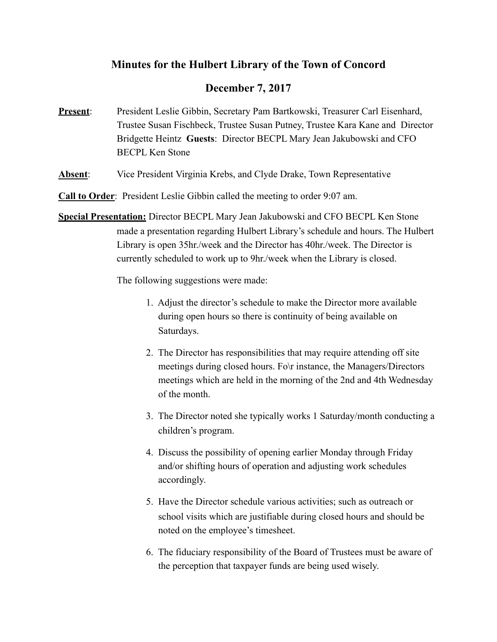# **Minutes for the Hulbert Library of the Town of Concord**

# **December 7, 2017**

- **Present**: President Leslie Gibbin, Secretary Pam Bartkowski, Treasurer Carl Eisenhard, Trustee Susan Fischbeck, Trustee Susan Putney, Trustee Kara Kane and Director Bridgette Heintz **Guests**: Director BECPL Mary Jean Jakubowski and CFO BECPL Ken Stone
- **Absent**: Vice President Virginia Krebs, and Clyde Drake, Town Representative

**Call to Order**: President Leslie Gibbin called the meeting to order 9:07 am.

**Special Presentation:** Director BECPL Mary Jean Jakubowski and CFO BECPL Ken Stone made a presentation regarding Hulbert Library's schedule and hours. The Hulbert Library is open 35hr./week and the Director has 40hr./week. The Director is currently scheduled to work up to 9hr./week when the Library is closed.

The following suggestions were made:

- 1. Adjust the director's schedule to make the Director more available during open hours so there is continuity of being available on Saturdays.
- 2. The Director has responsibilities that may require attending off site meetings during closed hours. Fo\r instance, the Managers/Directors meetings which are held in the morning of the 2nd and 4th Wednesday of the month.
- 3. The Director noted she typically works 1 Saturday/month conducting a children's program.
- 4. Discuss the possibility of opening earlier Monday through Friday and/or shifting hours of operation and adjusting work schedules accordingly.
- 5. Have the Director schedule various activities; such as outreach or school visits which are justifiable during closed hours and should be noted on the employee's timesheet.
- 6. The fiduciary responsibility of the Board of Trustees must be aware of the perception that taxpayer funds are being used wisely.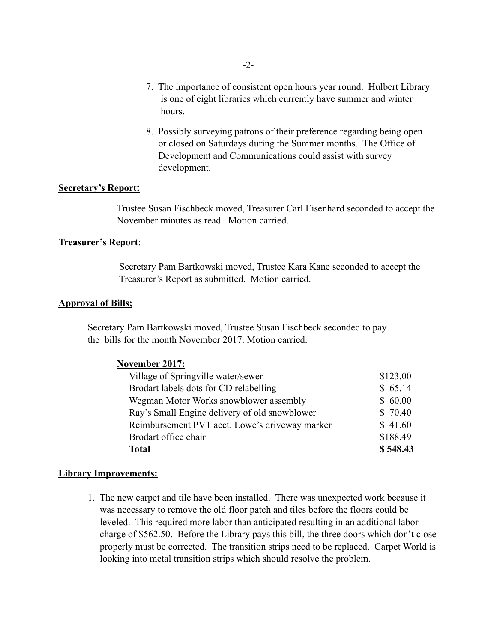- 7. The importance of consistent open hours year round. Hulbert Library is one of eight libraries which currently have summer and winter hours.
- 8. Possibly surveying patrons of their preference regarding being open or closed on Saturdays during the Summer months. The Office of Development and Communications could assist with survey development.

### **Secretary's Report:**

 Trustee Susan Fischbeck moved, Treasurer Carl Eisenhard seconded to accept the November minutes as read. Motion carried.

### **Treasurer's Report**:

 Secretary Pam Bartkowski moved, Trustee Kara Kane seconded to accept the Treasurer's Report as submitted. Motion carried.

#### **Approval of Bills;**

 Secretary Pam Bartkowski moved, Trustee Susan Fischbeck seconded to pay the bills for the month November 2017. Motion carried.

| November 2017:                                 |          |
|------------------------------------------------|----------|
| Village of Springville water/sewer             | \$123.00 |
| Brodart labels dots for CD relabelling         | \$65.14  |
| Wegman Motor Works snowblower assembly         | \$60.00  |
| Ray's Small Engine delivery of old snowblower  | \$70.40  |
| Reimbursement PVT acct. Lowe's driveway marker | \$41.60  |
| Brodart office chair                           | \$188.49 |
| <b>Total</b>                                   | \$548.43 |

#### **Library Improvements:**

 1. The new carpet and tile have been installed. There was unexpected work because it was necessary to remove the old floor patch and tiles before the floors could be leveled. This required more labor than anticipated resulting in an additional labor charge of \$562.50. Before the Library pays this bill, the three doors which don't close properly must be corrected. The transition strips need to be replaced. Carpet World is looking into metal transition strips which should resolve the problem.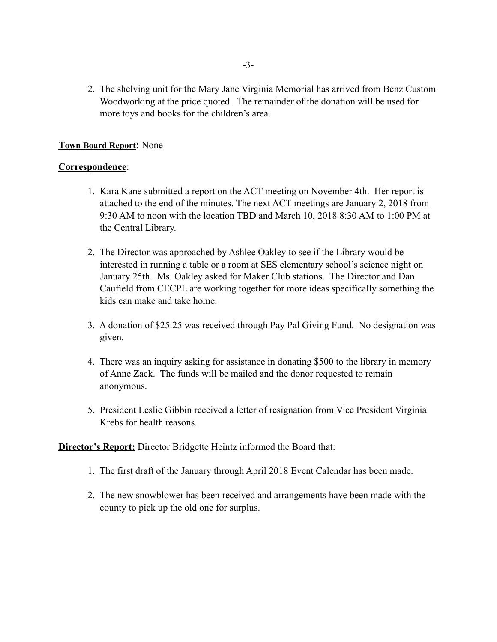2. The shelving unit for the Mary Jane Virginia Memorial has arrived from Benz Custom Woodworking at the price quoted. The remainder of the donation will be used for more toys and books for the children's area.

# **Town Board Report**: None

# **Correspondence**:

- 1. Kara Kane submitted a report on the ACT meeting on November 4th. Her report is attached to the end of the minutes. The next ACT meetings are January 2, 2018 from 9:30 AM to noon with the location TBD and March 10, 2018 8:30 AM to 1:00 PM at the Central Library.
- 2. The Director was approached by Ashlee Oakley to see if the Library would be interested in running a table or a room at SES elementary school's science night on January 25th. Ms. Oakley asked for Maker Club stations. The Director and Dan Caufield from CECPL are working together for more ideas specifically something the kids can make and take home.
- 3. A donation of \$25.25 was received through Pay Pal Giving Fund. No designation was given.
- 4. There was an inquiry asking for assistance in donating \$500 to the library in memory of Anne Zack. The funds will be mailed and the donor requested to remain anonymous.
- 5. President Leslie Gibbin received a letter of resignation from Vice President Virginia Krebs for health reasons.

## **Director's Report:** Director Bridgette Heintz informed the Board that:

- 1. The first draft of the January through April 2018 Event Calendar has been made.
- 2. The new snowblower has been received and arrangements have been made with the county to pick up the old one for surplus.